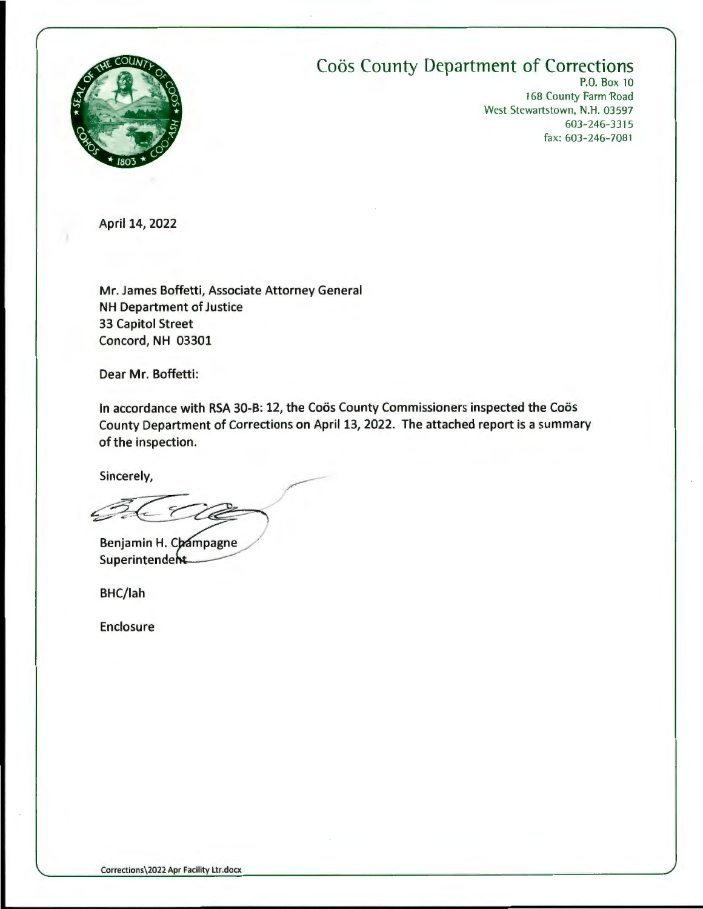

## **Coös County Department of Corrections**

P.O. Box 10 168 County Farm Road West Stewartstown, N.H. 03597 603-246-3315 fax: 603-246-708 1

April 14, 2022

Mr. James Boffetti, Associate Attorney General NH Department of Justice 33 Capitol Street Concord, NH 03301

Dear Mr. Boffetti:

In accordance with RSA 30-B: 12, the Coös County Commissioners inspected the Coös County Department of Corrections on April 13, 2022. The attached report is a summary of the inspection.

Sincerely,

Benjamin H. Champagne Superintendeht

BHC/lah

Enclosure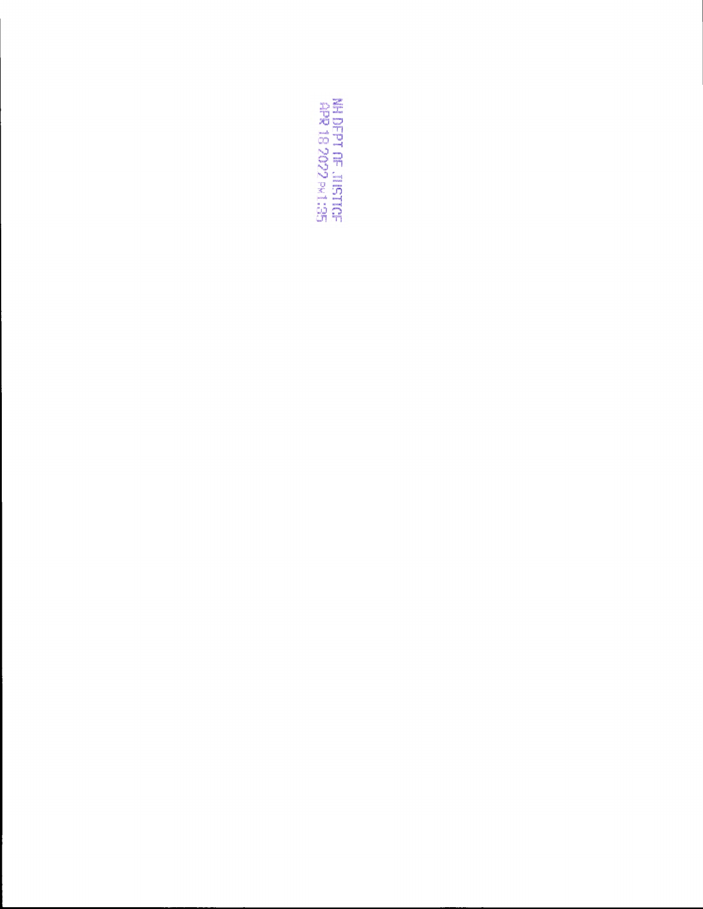SC:1M 6606 81 &db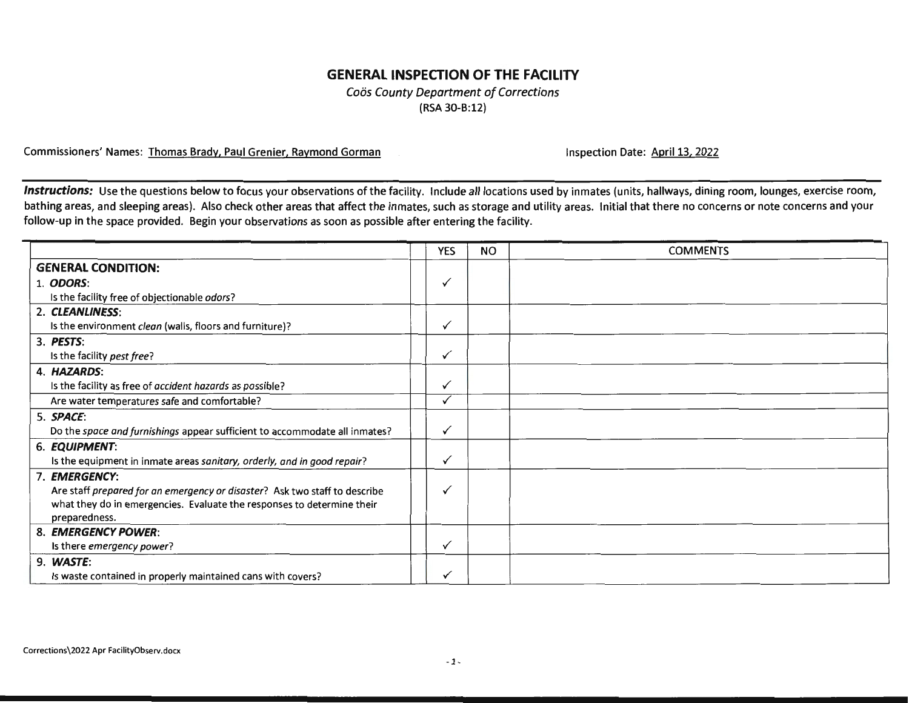## **GENERAL INSPECTION OF THE FACILITY**

Coös County Department of Corrections (RSA 30-B:12)

Commissioners' Names: Thomas Brady, Paul Grenier, Raymond Gorman Instance Communist Communistion Date: April 13, 2022

Instructions: Use the questions below to focus your observations of the facility. Include all locations used by inmates (units, hallways, dining room, lounges, exercise room, bathing areas, and sleeping areas). Also check other areas that affect the inmates, such as storage and utility areas. Initial that there no concerns or note concerns and your follow-up in the space provided. Begin your observations as soon as possible after entering the facility.

|                                                                            | <b>YES</b> | <b>NO</b> | <b>COMMENTS</b> |
|----------------------------------------------------------------------------|------------|-----------|-----------------|
| <b>GENERAL CONDITION:</b>                                                  |            |           |                 |
| 1. ODORS:                                                                  | ✓          |           |                 |
| Is the facility free of objectionable odors?                               |            |           |                 |
| 2. CLEANLINESS:                                                            |            |           |                 |
| Is the environment clean (walls, floors and furniture)?                    | ✓          |           |                 |
| 3. PESTS:                                                                  |            |           |                 |
| Is the facility pest free?                                                 | ✓          |           |                 |
| 4. HAZARDS:                                                                |            |           |                 |
| Is the facility as free of accident hazards as possible?                   | ✓          |           |                 |
| Are water temperatures safe and comfortable?                               |            |           |                 |
| 5. SPACE:                                                                  |            |           |                 |
| Do the space and furnishings appear sufficient to accommodate all inmates? | ✓          |           |                 |
| 6. EQUIPMENT:                                                              |            |           |                 |
| Is the equipment in inmate areas sanitary, orderly, and in good repair?    | ✓          |           |                 |
| 7. EMERGENCY:                                                              |            |           |                 |
| Are staff prepared for an emergency or disaster? Ask two staff to describe | ✓          |           |                 |
| what they do in emergencies. Evaluate the responses to determine their     |            |           |                 |
| preparedness.                                                              |            |           |                 |
| 8. EMERGENCY POWER:                                                        |            |           |                 |
| Is there <i>emergency power</i> ?                                          | ✓          |           |                 |
| 9. WASTE:                                                                  |            |           |                 |
| Is waste contained in properly maintained cans with covers?                | ✓          |           |                 |